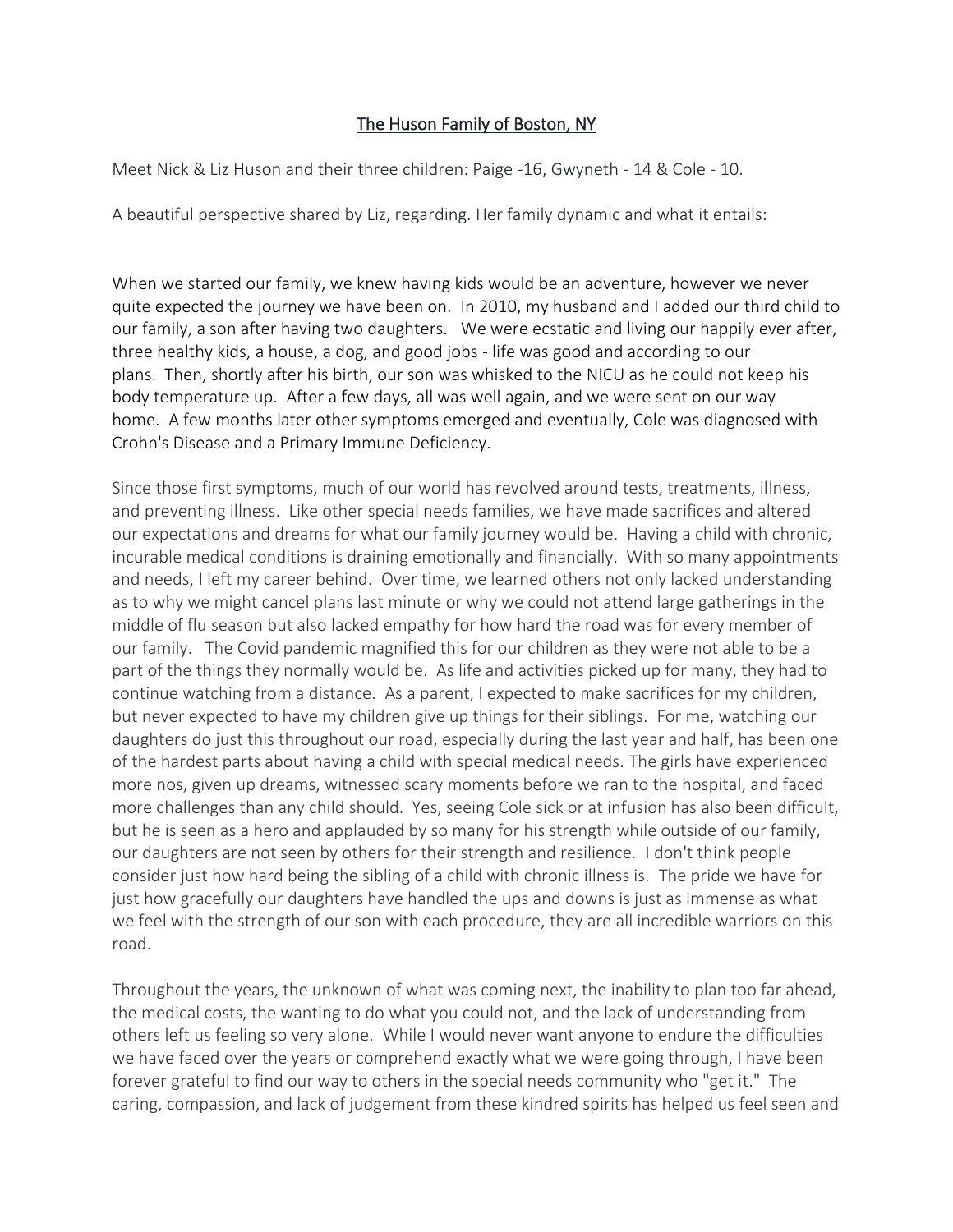## The Huson Family of Boston, NY

Meet Nick & Liz Huson and their three children: Paige -16, Gwyneth - 14 & Cole - 10.

A beautiful perspective shared by Liz, regarding. Her family dynamic and what it entails:

When we started our family, we knew having kids would be an adventure, however we never quite expected the journey we have been on. In 2010, my husband and I added our third child to our family, a son after having two daughters. We were ecstatic and living our happily ever after, three healthy kids, a house, a dog, and good jobs - life was good and according to our plans. Then, shortly after his birth, our son was whisked to the NICU as he could not keep his body temperature up. After a few days, all was well again, and we were sent on our way home. A few months later other symptoms emerged and eventually, Cole was diagnosed with Crohn's Disease and a Primary Immune Deficiency.

Since those first symptoms, much of our world has revolved around tests, treatments, illness, and preventing illness. Like other special needs families, we have made sacrifices and altered our expectations and dreams for what our family journey would be. Having a child with chronic, incurable medical conditions is draining emotionally and financially. With so many appointments and needs, I left my career behind. Over time, we learned others not only lacked understanding as to why we might cancel plans last minute or why we could not attend large gatherings in the middle of flu season but also lacked empathy for how hard the road was for every member of our family. The Covid pandemic magnified this for our children as they were not able to be a part of the things they normally would be. As life and activities picked up for many, they had to continue watching from a distance. As a parent, I expected to make sacrifices for my children, but never expected to have my children give up things for their siblings. For me, watching our daughters do just this throughout our road, especially during the last year and half, has been one of the hardest parts about having a child with special medical needs. The girls have experienced more nos, given up dreams, witnessed scary moments before we ran to the hospital, and faced more challenges than any child should. Yes, seeing Cole sick or at infusion has also been difficult, but he is seen as a hero and applauded by so many for his strength while outside of our family, our daughters are not seen by others for their strength and resilience. I don't think people consider just how hard being the sibling of a child with chronic illness is. The pride we have for just how gracefully our daughters have handled the ups and downs is just as immense as what we feel with the strength of our son with each procedure, they are all incredible warriors on this road.

Throughout the years, the unknown of what was coming next, the inability to plan too far ahead, the medical costs, the wanting to do what you could not, and the lack of understanding from others left us feeling so very alone. While I would never want anyone to endure the difficulties we have faced over the years or comprehend exactly what we were going through, I have been forever grateful to find our way to others in the special needs community who "get it." The caring, compassion, and lack of judgement from these kindred spirits has helped us feel seen and